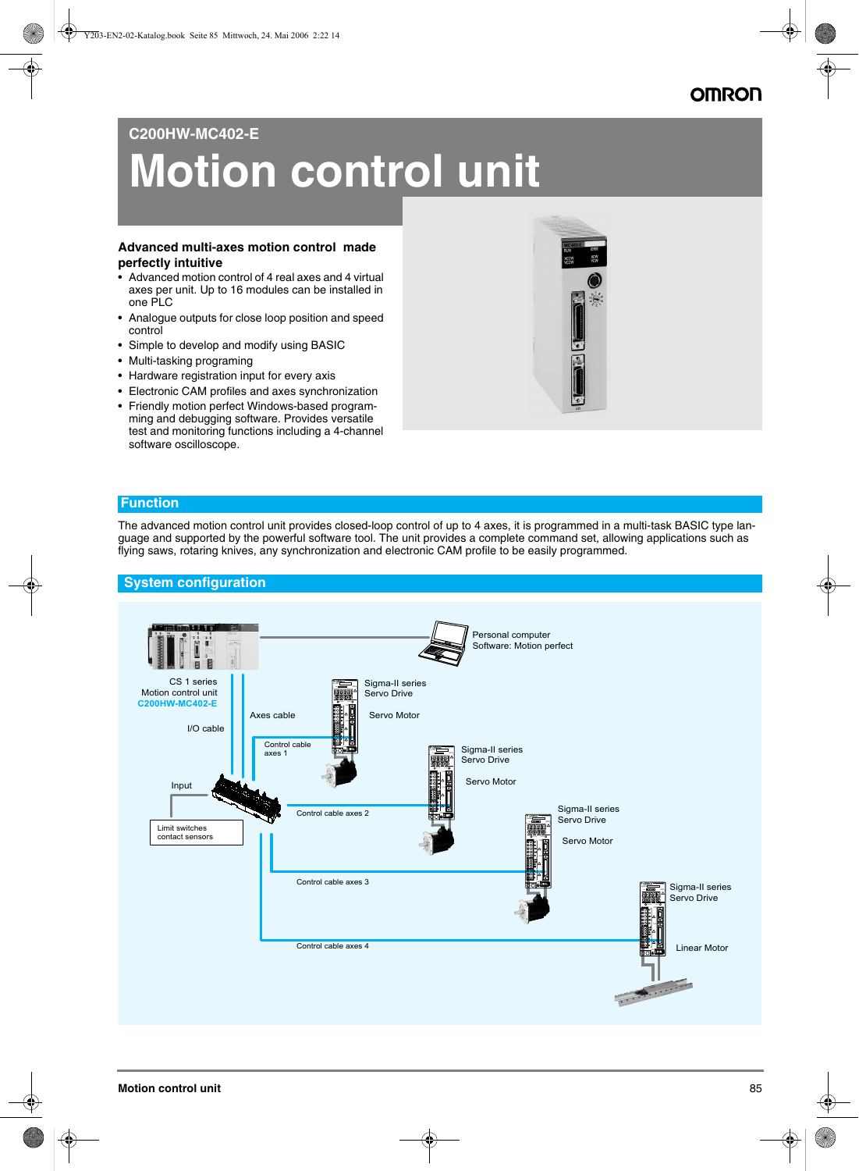## **OMRON**

## **C200HW-MC402-E**

# **Motion control unit**

#### **Advanced multi-axes motion control made perfectly intuitive**

- Advanced motion control of 4 real axes and 4 virtual axes per unit. Up to 16 modules can be installed in one PLC
- Analogue outputs for close loop position and speed control
- Simple to develop and modify using BASIC
- Multi-tasking programing
- Hardware registration input for every axis
- Electronic CAM profiles and axes synchronization
- Friendly motion perfect Windows-based programming and debugging software. Provides versatile test and monitoring functions including a 4-channel software oscilloscope.



#### **Function**

The advanced motion control unit provides closed-loop control of up to 4 axes, it is programmed in a multi-task BASIC type language and supported by the powerful software tool. The unit provides a complete command set, allowing applications such as flying saws, rotaring knives, any synchronization and electronic CAM profile to be easily programmed.

#### **System configuration**